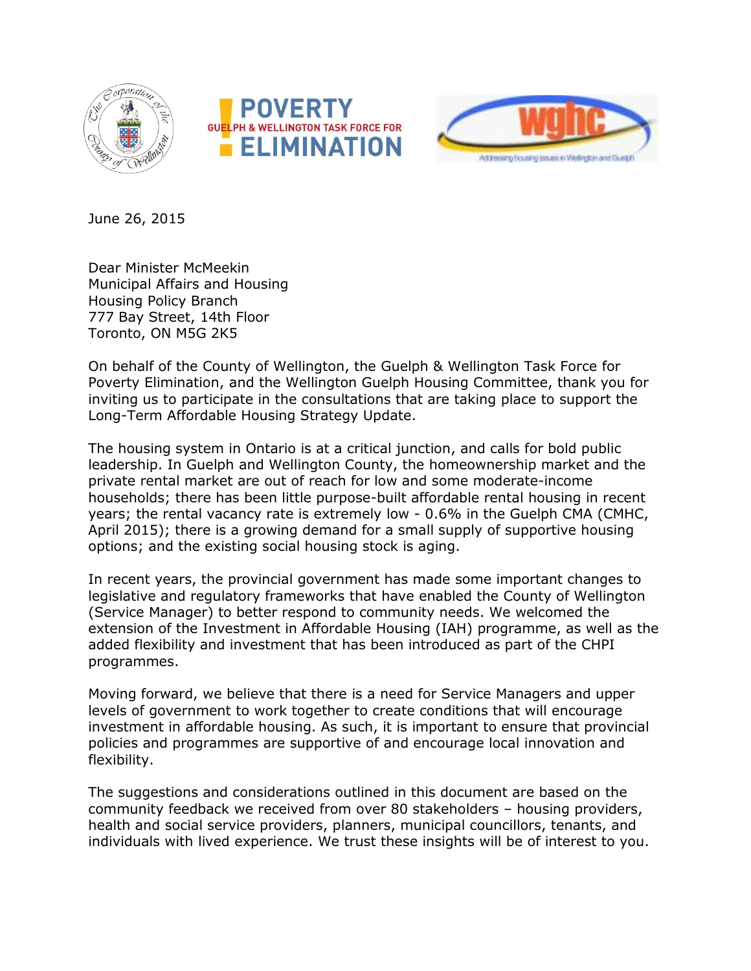





June 26, 2015

Dear Minister McMeekin Municipal Affairs and Housing Housing Policy Branch 777 Bay Street, 14th Floor Toronto, ON M5G 2K5

On behalf of the County of Wellington, the Guelph & Wellington Task Force for Poverty Elimination, and the Wellington Guelph Housing Committee, thank you for inviting us to participate in the consultations that are taking place to support the Long-Term Affordable Housing Strategy Update.

The housing system in Ontario is at a critical junction, and calls for bold public leadership. In Guelph and Wellington County, the homeownership market and the private rental market are out of reach for low and some moderate-income households; there has been little purpose-built affordable rental housing in recent years; the rental vacancy rate is extremely low - 0.6% in the Guelph CMA (CMHC, April 2015); there is a growing demand for a small supply of supportive housing options; and the existing social housing stock is aging.

In recent years, the provincial government has made some important changes to legislative and regulatory frameworks that have enabled the County of Wellington (Service Manager) to better respond to community needs. We welcomed the extension of the Investment in Affordable Housing (IAH) programme, as well as the added flexibility and investment that has been introduced as part of the CHPI programmes.

Moving forward, we believe that there is a need for Service Managers and upper levels of government to work together to create conditions that will encourage investment in affordable housing. As such, it is important to ensure that provincial policies and programmes are supportive of and encourage local innovation and flexibility.

The suggestions and considerations outlined in this document are based on the community feedback we received from over 80 stakeholders – housing providers, health and social service providers, planners, municipal councillors, tenants, and individuals with lived experience. We trust these insights will be of interest to you.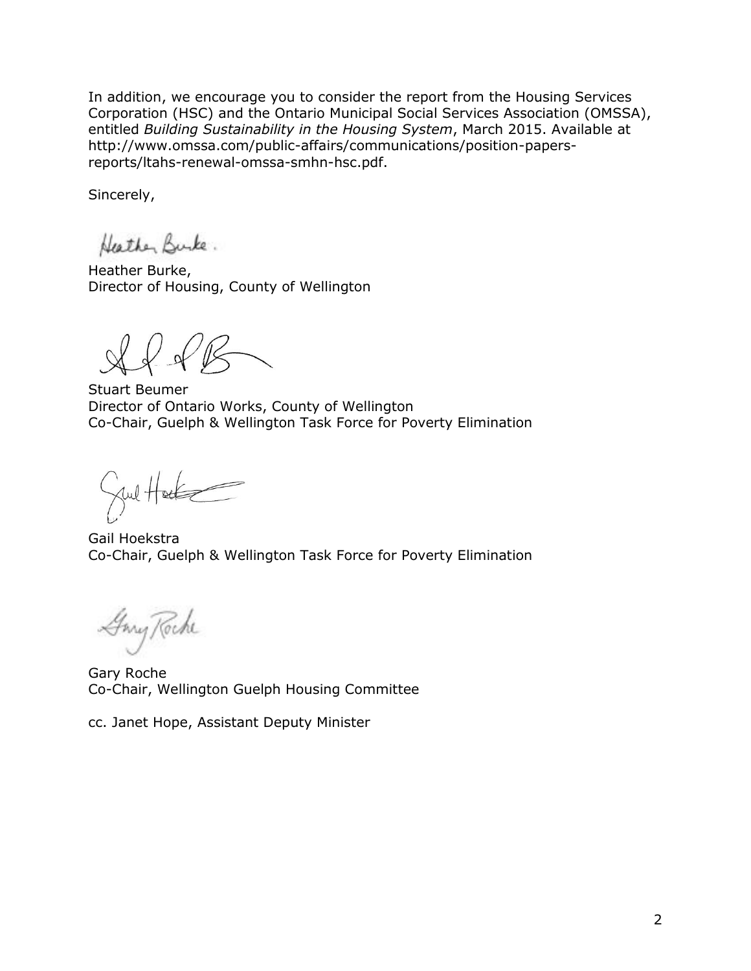In addition, we encourage you to consider the report from the Housing Services Corporation (HSC) and the Ontario Municipal Social Services Association (OMSSA), entitled *Building Sustainability in the Housing System*, March 2015. Available at [http://www.omssa.com/public-affairs/communications/position-papers](http://www.omssa.com/public-affairs/communications/position-papers-reports/ltahs-renewal-omssa-smhn-hsc.pdf)[reports/ltahs-renewal-omssa-smhn-hsc.pdf.](http://www.omssa.com/public-affairs/communications/position-papers-reports/ltahs-renewal-omssa-smhn-hsc.pdf)

Sincerely,

Heather Burke.

Heather Burke, Director of Housing, County of Wellington

 $\sqrt{\kappa}$ 

Stuart Beumer Director of Ontario Works, County of Wellington Co-Chair, Guelph & Wellington Task Force for Poverty Elimination

Jul Hacke

Gail Hoekstra Co-Chair, Guelph & Wellington Task Force for Poverty Elimination

Gony Roche

Gary Roche Co-Chair, Wellington Guelph Housing Committee

cc. Janet Hope, Assistant Deputy Minister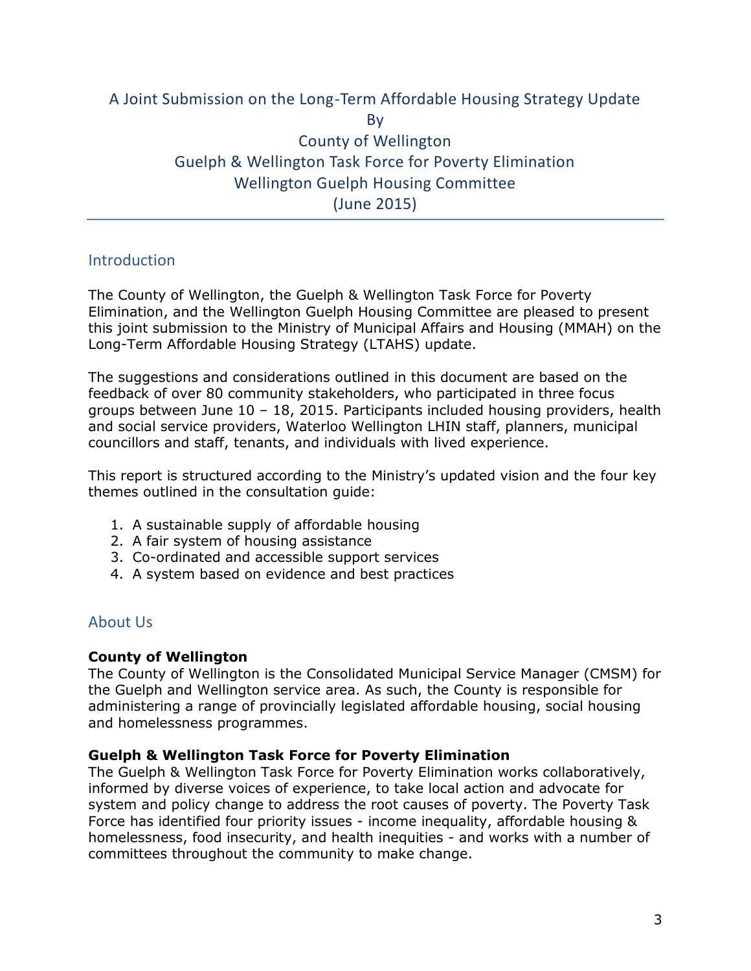# A Joint Submission on the Long-Term Affordable Housing Strategy Update By County of Wellington Guelph & Wellington Task Force for Poverty Elimination Wellington Guelph Housing Committee (June 2015)

## **Introduction**

The County of Wellington, the Guelph & Wellington Task Force for Poverty Elimination, and the Wellington Guelph Housing Committee are pleased to present this joint submission to the Ministry of Municipal Affairs and Housing (MMAH) on the Long-Term Affordable Housing Strategy (LTAHS) update.

The suggestions and considerations outlined in this document are based on the feedback of over 80 community stakeholders, who participated in three focus groups between June 10 – 18, 2015. Participants included housing providers, health and social service providers, Waterloo Wellington LHIN staff, planners, municipal councillors and staff, tenants, and individuals with lived experience.

This report is structured according to the Ministry's updated vision and the four key themes outlined in the consultation guide:

- 1. A sustainable supply of affordable housing
- 2. A fair system of housing assistance
- 3. Co-ordinated and accessible support services
- 4. A system based on evidence and best practices

## About Us

### **County of Wellington**

The County of Wellington is the Consolidated Municipal Service Manager (CMSM) for the Guelph and Wellington service area. As such, the County is responsible for administering a range of provincially legislated affordable housing, social housing and homelessness programmes.

### **Guelph & Wellington Task Force for Poverty Elimination**

The Guelph & Wellington Task Force for Poverty Elimination works collaboratively, informed by diverse voices of experience, to take local action and advocate for system and policy change to address the root causes of poverty. The Poverty Task Force has identified four priority issues - income inequality, affordable housing & homelessness, food insecurity, and health inequities - and works with a number of committees throughout the community to make change.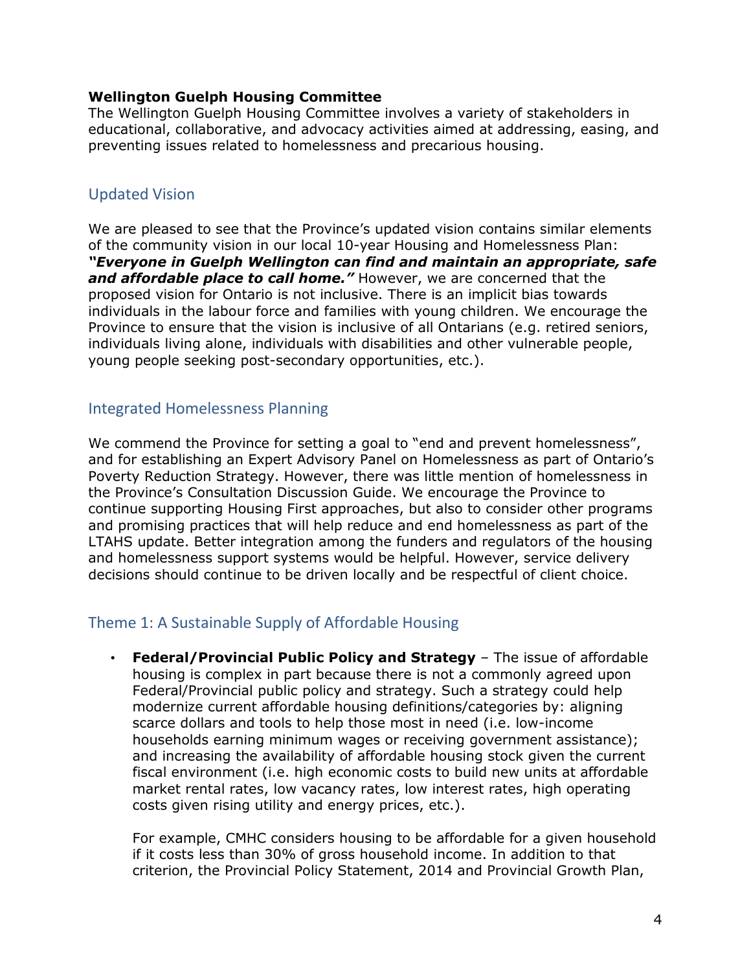#### **Wellington Guelph Housing Committee**

The Wellington Guelph Housing Committee involves a variety of stakeholders in educational, collaborative, and advocacy activities aimed at addressing, easing, and preventing issues related to homelessness and precarious housing.

## Updated Vision

We are pleased to see that the Province's updated vision contains similar elements of the community vision in our local 10-year Housing and Homelessness Plan: *"Everyone in Guelph Wellington can find and maintain an appropriate, safe and affordable place to call home."* However, we are concerned that the proposed vision for Ontario is not inclusive. There is an implicit bias towards individuals in the labour force and families with young children. We encourage the Province to ensure that the vision is inclusive of all Ontarians (e.g. retired seniors, individuals living alone, individuals with disabilities and other vulnerable people, young people seeking post-secondary opportunities, etc.).

### Integrated Homelessness Planning

We commend the Province for setting a goal to "end and prevent homelessness", and for establishing an Expert Advisory Panel on Homelessness as part of Ontario's Poverty Reduction Strategy. However, there was little mention of homelessness in the Province's Consultation Discussion Guide. We encourage the Province to continue supporting Housing First approaches, but also to consider other programs and promising practices that will help reduce and end homelessness as part of the LTAHS update. Better integration among the funders and regulators of the housing and homelessness support systems would be helpful. However, service delivery decisions should continue to be driven locally and be respectful of client choice.

## Theme 1: A Sustainable Supply of Affordable Housing

• **Federal/Provincial Public Policy and Strategy** – The issue of affordable housing is complex in part because there is not a commonly agreed upon Federal/Provincial public policy and strategy. Such a strategy could help modernize current affordable housing definitions/categories by: aligning scarce dollars and tools to help those most in need (i.e. low-income households earning minimum wages or receiving government assistance); and increasing the availability of affordable housing stock given the current fiscal environment (i.e. high economic costs to build new units at affordable market rental rates, low vacancy rates, low interest rates, high operating costs given rising utility and energy prices, etc.).

For example, CMHC considers housing to be affordable for a given household if it costs less than 30% of gross household income. In addition to that criterion, the Provincial Policy Statement, 2014 and Provincial Growth Plan,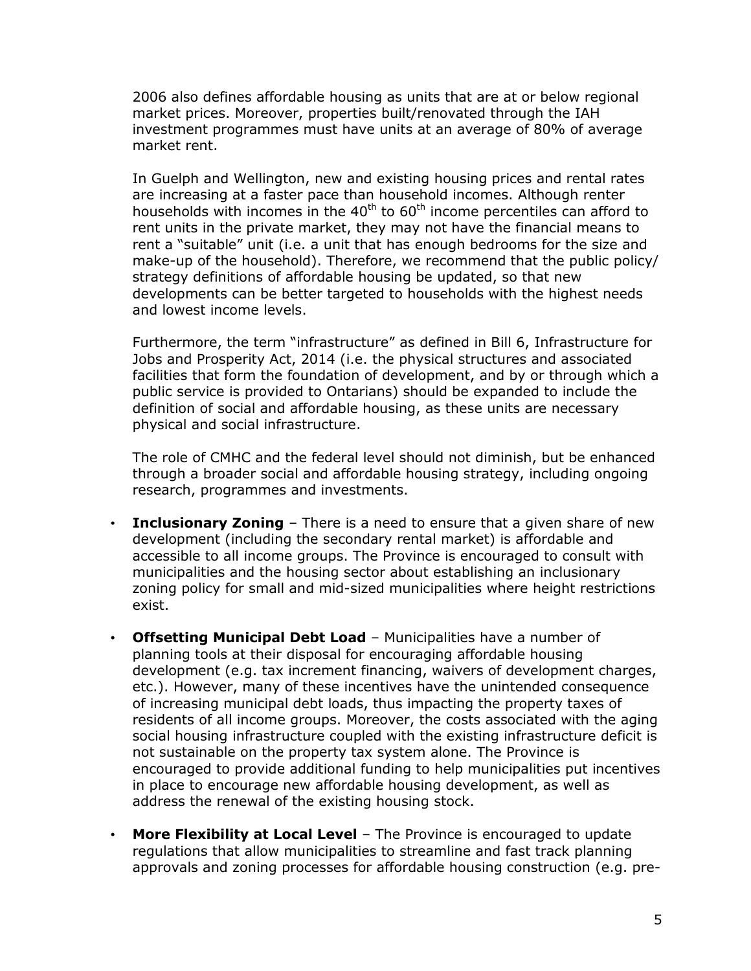2006 also defines affordable housing as units that are at or below regional market prices. Moreover, properties built/renovated through the IAH investment programmes must have units at an average of 80% of average market rent.

In Guelph and Wellington, new and existing housing prices and rental rates are increasing at a faster pace than household incomes. Although renter households with incomes in the  $40<sup>th</sup>$  to  $60<sup>th</sup>$  income percentiles can afford to rent units in the private market, they may not have the financial means to rent a "suitable" unit (i.e. a unit that has enough bedrooms for the size and make-up of the household). Therefore, we recommend that the public policy/ strategy definitions of affordable housing be updated, so that new developments can be better targeted to households with the highest needs and lowest income levels.

Furthermore, the term "infrastructure" as defined in Bill 6, Infrastructure for Jobs and Prosperity Act, 2014 (i.e. the physical structures and associated facilities that form the foundation of development, and by or through which a public service is provided to Ontarians) should be expanded to include the definition of social and affordable housing, as these units are necessary physical and social infrastructure.

The role of CMHC and the federal level should not diminish, but be enhanced through a broader social and affordable housing strategy, including ongoing research, programmes and investments.

- **Inclusionary Zoning** There is a need to ensure that a given share of new development (including the secondary rental market) is affordable and accessible to all income groups. The Province is encouraged to consult with municipalities and the housing sector about establishing an inclusionary zoning policy for small and mid-sized municipalities where height restrictions exist.
- **Offsetting Municipal Debt Load**  Municipalities have a number of planning tools at their disposal for encouraging affordable housing development (e.g. tax increment financing, waivers of development charges, etc.). However, many of these incentives have the unintended consequence of increasing municipal debt loads, thus impacting the property taxes of residents of all income groups. Moreover, the costs associated with the aging social housing infrastructure coupled with the existing infrastructure deficit is not sustainable on the property tax system alone. The Province is encouraged to provide additional funding to help municipalities put incentives in place to encourage new affordable housing development, as well as address the renewal of the existing housing stock.
- **More Flexibility at Local Level** The Province is encouraged to update regulations that allow municipalities to streamline and fast track planning approvals and zoning processes for affordable housing construction (e.g. pre-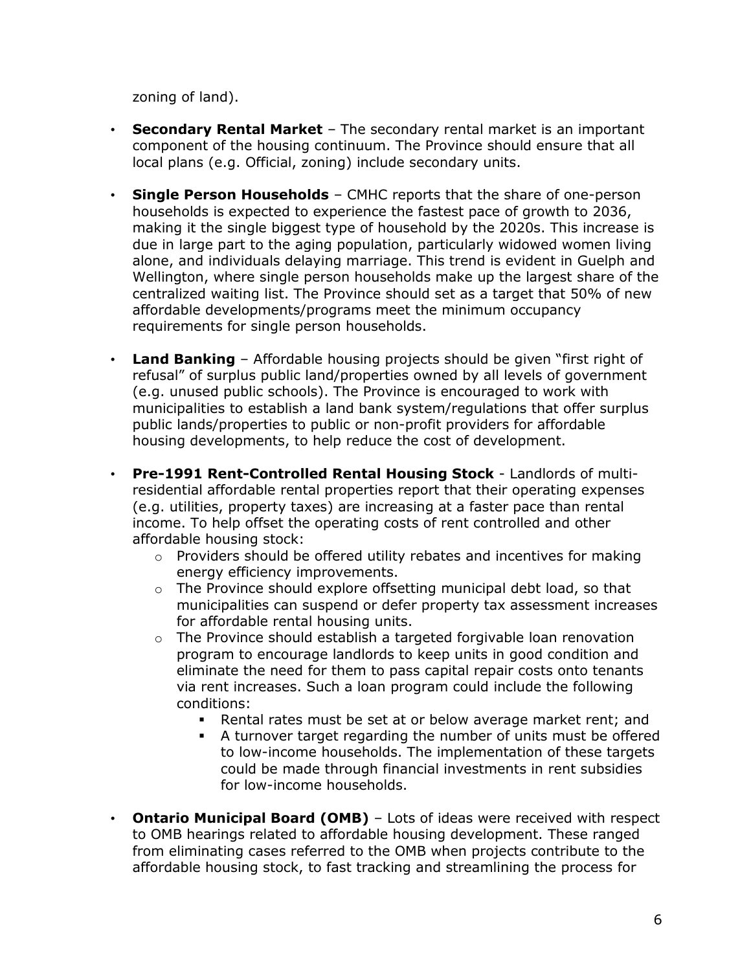zoning of land).

- **Secondary Rental Market** The secondary rental market is an important component of the housing continuum. The Province should ensure that all local plans (e.g. Official, zoning) include secondary units.
- **Single Person Households** CMHC reports that the share of one-person households is expected to experience the fastest pace of growth to 2036, making it the single biggest type of household by the 2020s. This increase is due in large part to the aging population, particularly widowed women living alone, and individuals delaying marriage. This trend is evident in Guelph and Wellington, where single person households make up the largest share of the centralized waiting list. The Province should set as a target that 50% of new affordable developments/programs meet the minimum occupancy requirements for single person households.
- **Land Banking** Affordable housing projects should be given "first right of refusal" of surplus public land/properties owned by all levels of government (e.g. unused public schools). The Province is encouraged to work with municipalities to establish a land bank system/regulations that offer surplus public lands/properties to public or non-profit providers for affordable housing developments, to help reduce the cost of development.
- **Pre-1991 Rent-Controlled Rental Housing Stock** Landlords of multiresidential affordable rental properties report that their operating expenses (e.g. utilities, property taxes) are increasing at a faster pace than rental income. To help offset the operating costs of rent controlled and other affordable housing stock:
	- o Providers should be offered utility rebates and incentives for making energy efficiency improvements.
	- o The Province should explore offsetting municipal debt load, so that municipalities can suspend or defer property tax assessment increases for affordable rental housing units.
	- $\circ$  The Province should establish a targeted forgivable loan renovation program to encourage landlords to keep units in good condition and eliminate the need for them to pass capital repair costs onto tenants via rent increases. Such a loan program could include the following conditions:
		- Rental rates must be set at or below average market rent; and
		- A turnover target regarding the number of units must be offered to low-income households. The implementation of these targets could be made through financial investments in rent subsidies for low-income households.
- **Ontario Municipal Board (OMB)** Lots of ideas were received with respect to OMB hearings related to affordable housing development. These ranged from eliminating cases referred to the OMB when projects contribute to the affordable housing stock, to fast tracking and streamlining the process for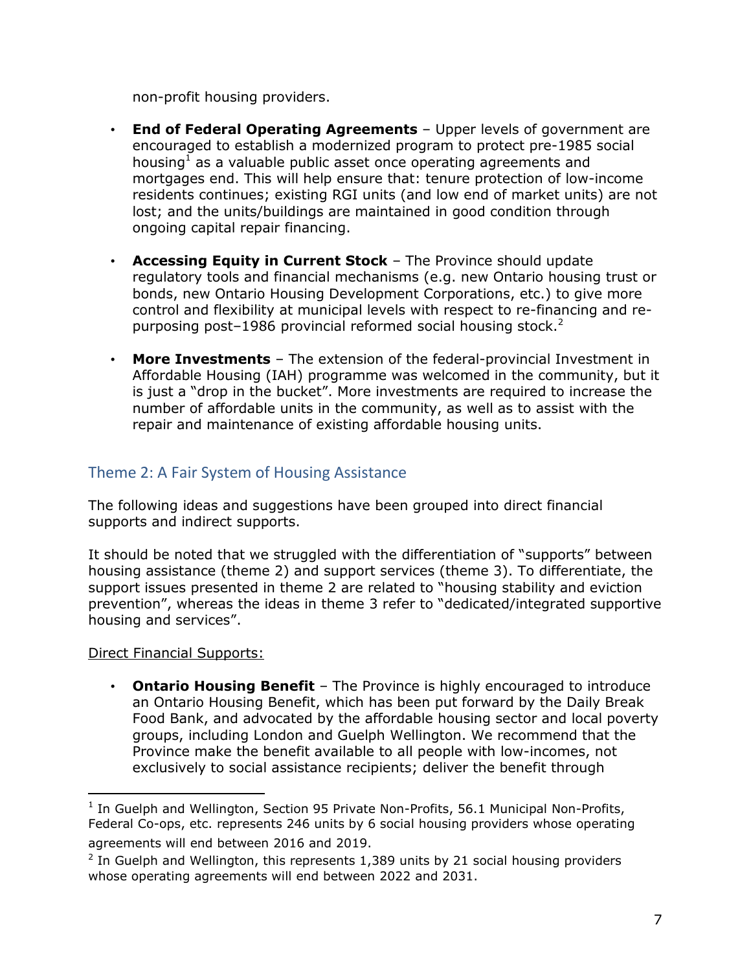non-profit housing providers.

- **End of Federal Operating Agreements**  Upper levels of government are encouraged to establish a modernized program to protect pre-1985 social housing<sup>1</sup> as a valuable public asset once operating agreements and mortgages end. This will help ensure that: tenure protection of low-income residents continues; existing RGI units (and low end of market units) are not lost; and the units/buildings are maintained in good condition through ongoing capital repair financing.
- **Accessing Equity in Current Stock** The Province should update regulatory tools and financial mechanisms (e.g. new Ontario housing trust or bonds, new Ontario Housing Development Corporations, etc.) to give more control and flexibility at municipal levels with respect to re-financing and repurposing post-1986 provincial reformed social housing stock.<sup>2</sup>
- **More Investments** The extension of the federal-provincial Investment in Affordable Housing (IAH) programme was welcomed in the community, but it is just a "drop in the bucket". More investments are required to increase the number of affordable units in the community, as well as to assist with the repair and maintenance of existing affordable housing units.

## Theme 2: A Fair System of Housing Assistance

The following ideas and suggestions have been grouped into direct financial supports and indirect supports.

It should be noted that we struggled with the differentiation of "supports" between housing assistance (theme 2) and support services (theme 3). To differentiate, the support issues presented in theme 2 are related to "housing stability and eviction prevention", whereas the ideas in theme 3 refer to "dedicated/integrated supportive housing and services".

Direct Financial Supports:

 $\overline{a}$ 

• **Ontario Housing Benefit** – The Province is highly encouraged to introduce an Ontario Housing Benefit, which has been put forward by the Daily Break Food Bank, and advocated by the affordable housing sector and local poverty groups, including London and Guelph Wellington. We recommend that the Province make the benefit available to all people with low-incomes, not exclusively to social assistance recipients; deliver the benefit through

 $<sup>1</sup>$  In Guelph and Wellington, Section 95 Private Non-Profits, 56.1 Municipal Non-Profits,</sup> Federal Co-ops, etc. represents 246 units by 6 social housing providers whose operating agreements will end between 2016 and 2019.

 $2$  In Guelph and Wellington, this represents 1,389 units by 21 social housing providers whose operating agreements will end between 2022 and 2031.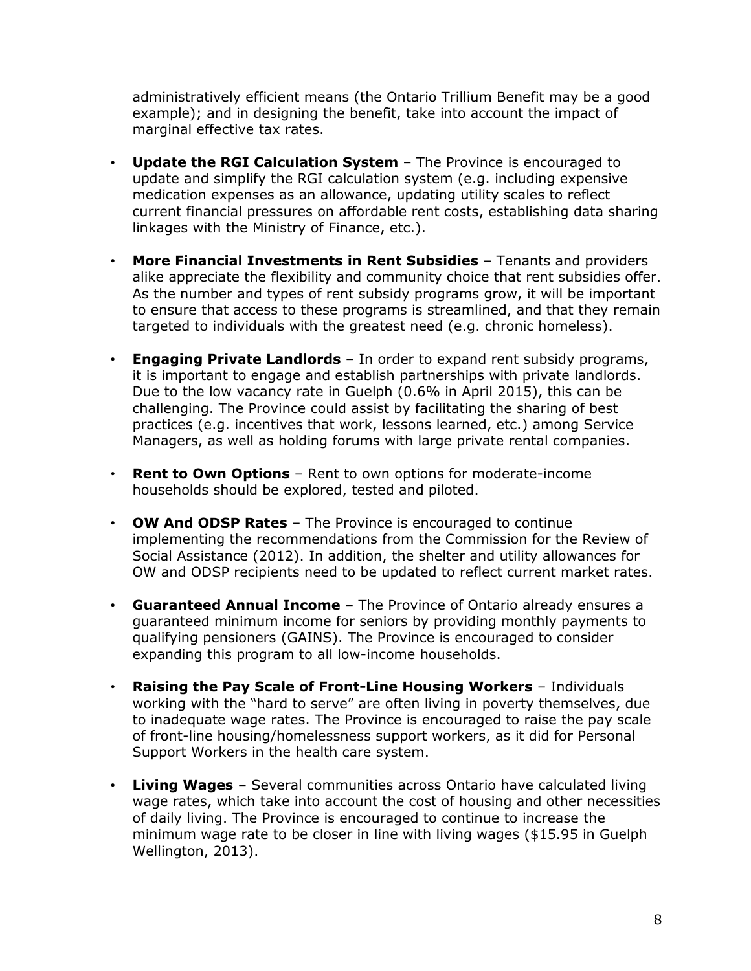administratively efficient means (the Ontario Trillium Benefit may be a good example); and in designing the benefit, take into account the impact of marginal effective tax rates.

- **Update the RGI Calculation System** The Province is encouraged to update and simplify the RGI calculation system (e.g. including expensive medication expenses as an allowance, updating utility scales to reflect current financial pressures on affordable rent costs, establishing data sharing linkages with the Ministry of Finance, etc.).
- **More Financial Investments in Rent Subsidies** Tenants and providers alike appreciate the flexibility and community choice that rent subsidies offer. As the number and types of rent subsidy programs grow, it will be important to ensure that access to these programs is streamlined, and that they remain targeted to individuals with the greatest need (e.g. chronic homeless).
- **Engaging Private Landlords** In order to expand rent subsidy programs, it is important to engage and establish partnerships with private landlords. Due to the low vacancy rate in Guelph (0.6% in April 2015), this can be challenging. The Province could assist by facilitating the sharing of best practices (e.g. incentives that work, lessons learned, etc.) among Service Managers, as well as holding forums with large private rental companies.
- **Rent to Own Options**  Rent to own options for moderate-income households should be explored, tested and piloted.
- **OW And ODSP Rates** The Province is encouraged to continue implementing the recommendations from the Commission for the Review of Social Assistance (2012). In addition, the shelter and utility allowances for OW and ODSP recipients need to be updated to reflect current market rates.
- **Guaranteed Annual Income** The Province of Ontario already ensures a guaranteed minimum income for seniors by providing monthly payments to qualifying pensioners (GAINS). The Province is encouraged to consider expanding this program to all low-income households.
- **Raising the Pay Scale of Front-Line Housing Workers** Individuals working with the "hard to serve" are often living in poverty themselves, due to inadequate wage rates. The Province is encouraged to raise the pay scale of front-line housing/homelessness support workers, as it did for Personal Support Workers in the health care system.
- **Living Wages** Several communities across Ontario have calculated living wage rates, which take into account the cost of housing and other necessities of daily living. The Province is encouraged to continue to increase the minimum wage rate to be closer in line with living wages (\$15.95 in Guelph Wellington, 2013).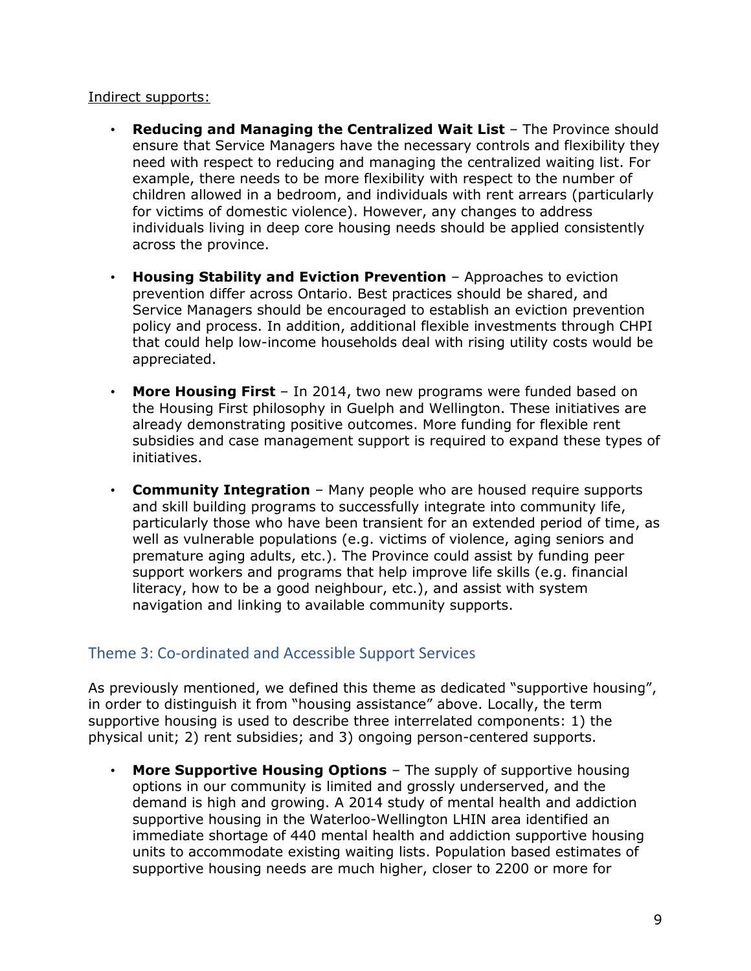#### Indirect supports:

- **Reducing and Managing the Centralized Wait List** The Province should ensure that Service Managers have the necessary controls and flexibility they need with respect to reducing and managing the centralized waiting list. For example, there needs to be more flexibility with respect to the number of children allowed in a bedroom, and individuals with rent arrears (particularly for victims of domestic violence). However, any changes to address individuals living in deep core housing needs should be applied consistently across the province.
- **Housing Stability and Eviction Prevention** Approaches to eviction prevention differ across Ontario. Best practices should be shared, and Service Managers should be encouraged to establish an eviction prevention policy and process. In addition, additional flexible investments through CHPI that could help low-income households deal with rising utility costs would be appreciated.
- **More Housing First** In 2014, two new programs were funded based on the Housing First philosophy in Guelph and Wellington. These initiatives are already demonstrating positive outcomes. More funding for flexible rent subsidies and case management support is required to expand these types of initiatives.
- **Community Integration** Many people who are housed require supports and skill building programs to successfully integrate into community life, particularly those who have been transient for an extended period of time, as well as vulnerable populations (e.g. victims of violence, aging seniors and premature aging adults, etc.). The Province could assist by funding peer support workers and programs that help improve life skills (e.g. financial literacy, how to be a good neighbour, etc.), and assist with system navigation and linking to available community supports.

## Theme 3: Co-ordinated and Accessible Support Services

As previously mentioned, we defined this theme as dedicated "supportive housing", in order to distinguish it from "housing assistance" above. Locally, the term supportive housing is used to describe three interrelated components: 1) the physical unit; 2) rent subsidies; and 3) ongoing person-centered supports.

• **More Supportive Housing Options** – The supply of supportive housing options in our community is limited and grossly underserved, and the demand is high and growing. A 2014 study of mental health and addiction supportive housing in the Waterloo-Wellington LHIN area identified an immediate shortage of 440 mental health and addiction supportive housing units to accommodate existing waiting lists. Population based estimates of supportive housing needs are much higher, closer to 2200 or more for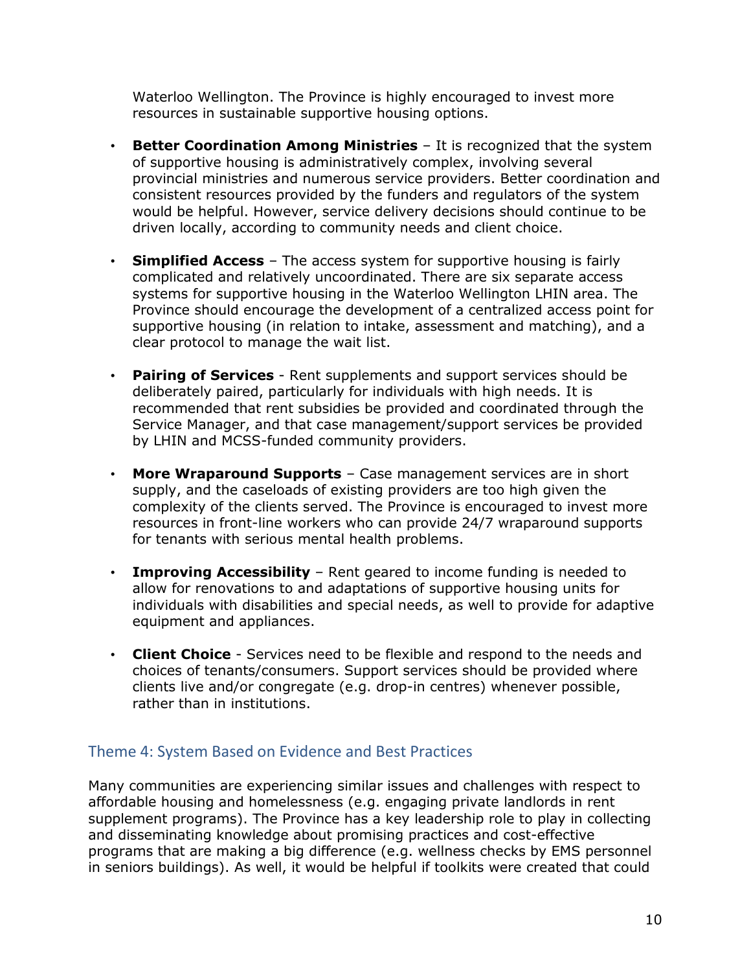Waterloo Wellington. The Province is highly encouraged to invest more resources in sustainable supportive housing options.

- **Better Coordination Among Ministries**  It is recognized that the system of supportive housing is administratively complex, involving several provincial ministries and numerous service providers. Better coordination and consistent resources provided by the funders and regulators of the system would be helpful. However, service delivery decisions should continue to be driven locally, according to community needs and client choice.
- **Simplified Access**  The access system for supportive housing is fairly complicated and relatively uncoordinated. There are six separate access systems for supportive housing in the Waterloo Wellington LHIN area. The Province should encourage the development of a centralized access point for supportive housing (in relation to intake, assessment and matching), and a clear protocol to manage the wait list.
- **Pairing of Services**  Rent supplements and support services should be deliberately paired, particularly for individuals with high needs. It is recommended that rent subsidies be provided and coordinated through the Service Manager, and that case management/support services be provided by LHIN and MCSS-funded community providers.
- **More Wraparound Supports** Case management services are in short supply, and the caseloads of existing providers are too high given the complexity of the clients served. The Province is encouraged to invest more resources in front-line workers who can provide 24/7 wraparound supports for tenants with serious mental health problems.
- **Improving Accessibility** Rent geared to income funding is needed to allow for renovations to and adaptations of supportive housing units for individuals with disabilities and special needs, as well to provide for adaptive equipment and appliances.
- **Client Choice** Services need to be flexible and respond to the needs and choices of tenants/consumers. Support services should be provided where clients live and/or congregate (e.g. drop-in centres) whenever possible, rather than in institutions.

### Theme 4: System Based on Evidence and Best Practices

Many communities are experiencing similar issues and challenges with respect to affordable housing and homelessness (e.g. engaging private landlords in rent supplement programs). The Province has a key leadership role to play in collecting and disseminating knowledge about promising practices and cost-effective programs that are making a big difference (e.g. wellness checks by EMS personnel in seniors buildings). As well, it would be helpful if toolkits were created that could